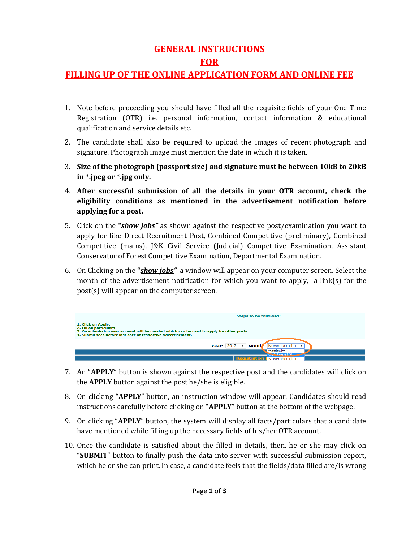## **GENERAL INSTRUCTIONS FOR**

## **FILLING UP OF THE ONLINE APPLICATION FORM AND ONLINE FEE**

- 1. Note before proceeding you should have filled all the requisite fields of your One Time Registration (OTR) i.e. personal information, contact information & educational qualification and service details etc.
- 2. The candidate shall also be required to upload the images of recent photograph and signature. Photograph image must mention the date in which it is taken.
- 3. **Size of the photograph (passport size) and signature must be between 10kB to 20kB in \*.jpeg or \*.jpg only.**
- 4. **After successful submission of all the details in your OTR account, check the eligibility conditions as mentioned in the advertisement notification before applying for a post.**
- 5. Click on the **"***show jobs"* as shown against the respective post/examination you want to apply for like Direct Recruitment Post, Combined Competitive (preliminary), Combined Competitive (mains), J&K Civil Service (Judicial) Competitive Examination, Assistant Conservator of Forest Competitive Examination, Departmental Examination.
- 6. On Clicking on the **"***show jobs"* a window will appear on your computer screen. Select the month of the advertisement notification for which you want to apply, a link(s) for the post(s) will appear on the computer screen.



- 7. An "**APPLY**" button is shown against the respective post and the candidates will click on the **APPLY** button against the post he/she is eligible.
- 8. On clicking "**APPLY**" button, an instruction window will appear. Candidates should read instructions carefully before clicking on "**APPLY"** button at the bottom of the webpage.
- 9. On clicking "**APPLY**" button, the system will display all facts/particulars that a candidate have mentioned while filling up the necessary fields of his/her OTR account.
- 10. Once the candidate is satisfied about the filled in details, then, he or she may click on "**SUBMIT**" button to finally push the data into server with successful submission report, which he or she can print. In case, a candidate feels that the fields/data filled are/is wrong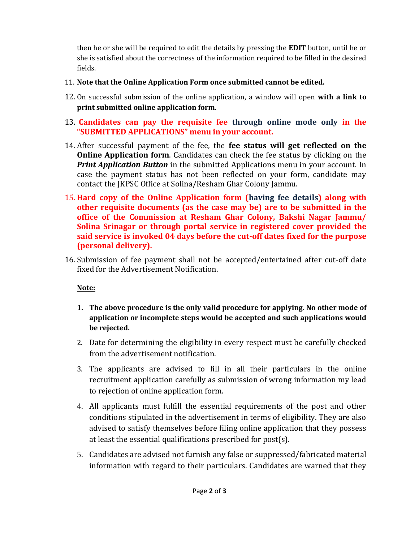then he or she will be required to edit the details by pressing the **EDIT** button, until he or she is satisfied about the correctness of the information required to be filled in the desired fields.

- 11. **Note that the Online Application Form once submitted cannot be edited.**
- 12. On successful submission of the online application, a window will open **with a link to print submitted online application form**.
- 13. **Candidates can pay the requisite fee through online mode only in the "SUBMITTED APPLICATIONS" menu in your account.**
- 14. After successful payment of the fee, the **fee status will get reflected on the Online Application form.** Candidates can check the fee status by clicking on the *Print Application Button* in the submitted Applications menu in your account. In case the payment status has not been reflected on your form, candidate may contact the JKPSC Office at Solina/Resham Ghar Colony Jammu.
- 15. **Hard copy of the Online Application form (having fee details) along with other requisite documents (as the case may be) are to be submitted in the office of the Commission at Resham Ghar Colony, Bakshi Nagar Jammu/ Solina Srinagar or through portal service in registered cover provided the said service is invoked 04 days before the cut-off dates fixed for the purpose (personal delivery).**
- 16. Submission of fee payment shall not be accepted/entertained after cut-off date fixed for the Advertisement Notification.

## **Note:**

- **1. The above procedure is the only valid procedure for applying. No other mode of application or incomplete steps would be accepted and such applications would be rejected.**
- 2. Date for determining the eligibility in every respect must be carefully checked from the advertisement notification.
- 3. The applicants are advised to fill in all their particulars in the online recruitment application carefully as submission of wrong information my lead to rejection of online application form.
- 4. All applicants must fulfill the essential requirements of the post and other conditions stipulated in the advertisement in terms of eligibility. They are also advised to satisfy themselves before filing online application that they possess at least the essential qualifications prescribed for post(s).
- 5. Candidates are advised not furnish any false or suppressed/fabricated material information with regard to their particulars. Candidates are warned that they